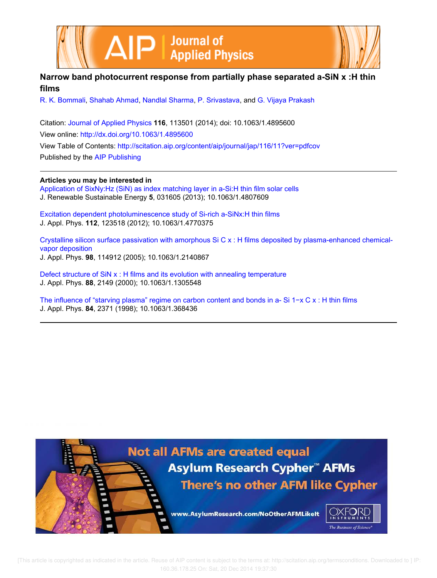



# **Narrow band photocurrent response from partially phase separated a-SiN x :H thin films**

R. K. Bommali, Shahab Ahmad, Nandlal Sharma, P. Srivastava, and G. Vijaya Prakash

Citation: Journal of Applied Physics **116**, 113501 (2014); doi: 10.1063/1.4895600 View online: http://dx.doi.org/10.1063/1.4895600 View Table of Contents: http://scitation.aip.org/content/aip/journal/jap/116/11?ver=pdfcov Published by the AIP Publishing

**Articles you may be interested in**

Application of SixNy:Hz (SiN) as index matching layer in a-Si:H thin film solar cells J. Renewable Sustainable Energy **5**, 031605 (2013); 10.1063/1.4807609

Excitation dependent photoluminescence study of Si-rich a-SiNx:H thin films J. Appl. Phys. **112**, 123518 (2012); 10.1063/1.4770375

Crystalline silicon surface passivation with amorphous Si C x : H films deposited by plasma-enhanced chemicalvapor deposition J. Appl. Phys. **98**, 114912 (2005); 10.1063/1.2140867

Defect structure of SiN x : H films and its evolution with annealing temperature J. Appl. Phys. **88**, 2149 (2000); 10.1063/1.1305548

The influence of "starving plasma" regime on carbon content and bonds in a-Si 1−x C x : H thin films J. Appl. Phys. **84**, 2371 (1998); 10.1063/1.368436

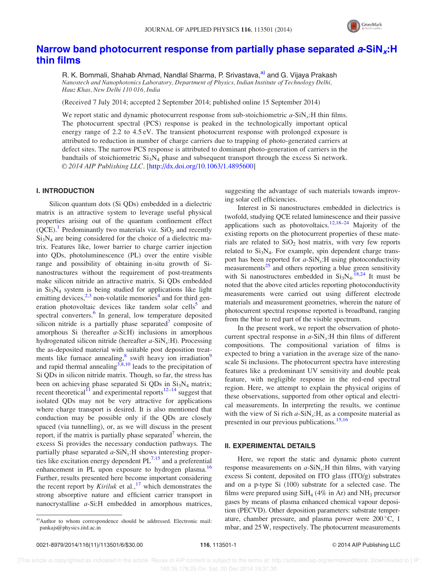

## Narrow band photocurrent response from partially phase separated  $a\text{-}SiN_x:H$ thin films

R. K. Bommali, Shahab Ahmad, Nandlal Sharma, P. Srivastava,<sup>a)</sup> and G. Vijaya Prakash Nanostech and Nanophotonics Laboratory, Department of Physics, Indian Institute of Technology Delhi, Hauz Khas, New Delhi 110 016, India

(Received 7 July 2014; accepted 2 September 2014; published online 15 September 2014)

We report static and dynamic photocurrent response from sub-stoichiometric  $a$ -SiN<sub>x</sub>:H thin films. The photocurrent spectral (PCS) response is peaked in the technologically important optical energy range of 2.2 to 4.5 eV. The transient photocurrent response with prolonged exposure is attributed to reduction in number of charge carriers due to trapping of photo-generated carriers at defect sites. The narrow PCS response is attributed to dominant photo-generation of carriers in the bandtails of stoichiometric  $Si_3N_4$  phase and subsequent transport through the excess Si network. © 2014 AIP Publishing LLC. [http://dx.doi.org/10.1063/1.4895600]

### I. INTRODUCTION

Silicon quantum dots (Si QDs) embedded in a dielectric matrix is an attractive system to leverage useful physical properties arising out of the quantum confinement effect  $(QCE)$ .<sup>1</sup> Predominantly two materials viz. SiO<sub>2</sub> and recently  $Si<sub>3</sub>N<sub>4</sub>$  are being considered for the choice of a dielectric matrix. Features like, lower barrier to charge carrier injection into QDs, photoluminescence (PL) over the entire visible range and possibility of obtaining in-situ growth of Sinanostructures without the requirement of post-treatments make silicon nitride an attractive matrix. Si QDs embedded in  $Si<sub>3</sub>N<sub>4</sub>$  system is being studied for applications like light emitting devices, $2,3$  non-volatile memories<sup>4</sup> and for third generation photovoltaic devices like tandem solar cells<sup>5</sup> and spectral converters.<sup>6</sup> In general, low temperature deposited silicon nitride is a partially phase separated<sup>7</sup> composite of amorphous Si (hereafter a-Si:H) inclusions in amorphous hydrogenated silicon nitride (hereafter  $a$ -SiN<sub>x</sub>:H). Processing the as-deposited material with suitable post deposition treatments like furnace annealing,<sup>8</sup> swift heavy ion irradiation<sup>9</sup> and rapid thermal annealing  $3,8,10$  leads to the precipitation of Si QDs in silicon nitride matrix. Though, so far, the stress has been on achieving phase separated Si QDs in  $Si<sub>3</sub>N<sub>4</sub>$  matrix; recent theoretical<sup>11</sup> and experimental reports<sup>12–14</sup> suggest that isolated QDs may not be very attractive for applications where charge transport is desired. It is also mentioned that conduction may be possible only if the QDs are closely spaced (via tunnelling), or, as we will discuss in the present report, if the matrix is partially phase separated<sup>7</sup> wherein, the excess Si provides the necessary conduction pathways. The partially phase separated  $a$ -SiN<sub>x</sub>:H shows interesting properties like excitation energy dependent  $PL^{7,15}$  and a preferential enhancement in PL upon exposure to hydrogen plasma.<sup>16</sup> Further, results presented here become important considering the recent report by Kiriluk et al.,<sup>17</sup> which demonstrates the strong absorptive nature and efficient carrier transport in nanocrystalline a-Si:H embedded in amorphous matrices,

suggesting the advantage of such materials towards improving solar cell efficiencies.

Interest in Si nanostructures embedded in dielectrics is twofold, studying QCE related luminescence and their passive applications such as photovoltaics.<sup>12,18–24</sup> Majority of the existing reports on the photocurrent properties of these materials are related to  $SiO<sub>2</sub>$  host matrix, with very few reports related to  $Si<sub>3</sub>N<sub>4</sub>$ . For example, spin dependent charge transport has been reported for  $a$ -SiN<sub>x</sub>:H using photoconductivity measurements $^{25}$  and others reporting a blue green sensitivity with Si nanostructures embedded in  $Si<sub>3</sub>N<sub>4</sub>$ . <sup>18,24</sup> It must be noted that the above cited articles reporting photoconductivity measurements were carried out using different electrode materials and measurement geometries, wherein the nature of photocurrent spectral response reported is broadband, ranging from the blue to red part of the visible spectrum.

In the present work, we report the observation of photocurrent spectral response in  $a$ -SiN<sub>x</sub>:H thin films of different compositions. The compositional variation of films is expected to bring a variation in the average size of the nanoscale Si inclusions. The photocurrent spectra have interesting features like a predominant UV sensitivity and double peak feature, with negligible response in the red-end spectral region. Here, we attempt to explain the physical origins of these observations, supported from other optical and electrical measurements. In interpreting the results, we continue with the view of Si rich  $a$ -SiN<sub>x</sub>:H, as a composite material as presented in our previous publications.<sup>15,16</sup>

#### II. EXPERIMENTAL DETAILS

Here, we report the static and dynamic photo current response measurements on  $a$ -SiN<sub>x</sub>:H thin films, with varying excess Si content, deposited on ITO glass (ITO/g) substrates and on a p-type Si (100) substrate for a selected case. The films were prepared using  $SiH<sub>4</sub>$  (4% in Ar) and NH<sub>3</sub> precursor gases by means of plasma enhanced chemical vapour deposition (PECVD). Other deposition parameters: substrate temperature, chamber pressure, and plasma power were  $200^{\circ}$ C, 1 mbar, and 25W, respectively. The photocurrent measurements

a)Author to whom correspondence should be addressed. Electronic mail: pankajs@physics.iitd.ac.in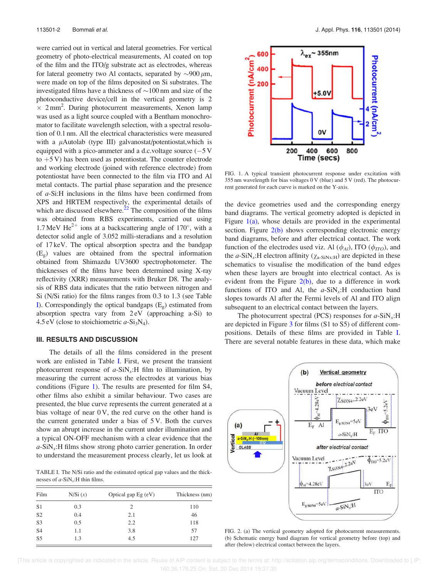were carried out in vertical and lateral geometries. For vertical geometry of photo-electrical measurements, Al coated on top of the film and the ITO/g substrate act as electrodes, whereas for lateral geometry two Al contacts, separated by  $\sim$ 900  $\mu$ m, were made on top of the films deposited on Si substrates. The investigated films have a thickness of  $\sim$ 100 nm and size of the photoconductive device/cell in the vertical geometry is 2  $\times$  2 mm<sup>2</sup>. During photocurrent measurements, Xenon lamp was used as a light source coupled with a Bentham monochromator to facilitate wavelength selection, with a spectral resolution of 0.1 nm. All the electrical characteristics were measured with a  $\mu$ Autolab (type III) galvanostat/potentiostat,which is equipped with a pico-ammeter and a d.c.voltage source  $(-5V)$ to  $+5$  V) has been used as potentiostat. The counter electrode and working electrode (joined with reference electrode) from potentiostat have been connected to the film via ITO and Al metal contacts. The partial phase separation and the presence of a-Si:H inclusions in the films have been confirmed from XPS and HRTEM respectively, the experimental details of which are discussed elsewhere. $^{22}$  The composition of the films was obtained from RBS experiments, carried out using 1.7 MeV He<sup>2+</sup> ions at a backscattering angle of 170°, with a detector solid angle of 3.052 milli-steradians and a resolution of 17 keV. The optical absorption spectra and the bandgap  $(E_g)$  values are obtained from the spectral information obtained from Shimazdu UV3600 spectrophotometer. The thicknesses of the films have been determined using X-ray reflectivity (XRR) measurements with Bruker D8. The analysis of RBS data indicates that the ratio between nitrogen and Si (N/Si ratio) for the films ranges from 0.3 to 1.3 (see Table I). Correspondingly the optical bandgaps  $(E_g)$  estimated from absorption spectra vary from 2 eV (approaching a-Si) to 4.5 eV (close to stoichiometric  $a-Si_3N_4$ ).

#### III. RESULTS AND DISCUSSION

The details of all the films considered in the present work are enlisted in Table I. First, we present the transient photocurrent response of  $a-SiN<sub>x</sub>:H$  film to illumination, by measuring the current across the electrodes at various bias conditions (Figure 1). The results are presented for film S4, other films also exhibit a similar behaviour. Two cases are presented, the blue curve represents the current generated at a bias voltage of near 0 V, the red curve on the other hand is the current generated under a bias of 5 V. Both the curves show an abrupt increase in the current under illumination and a typical ON-OFF mechanism with a clear evidence that the  $a$ -SiN<sub>x</sub>:H films show strong photo carrier generation. In order to understand the measurement process clearly, let us look at

TABLE I. The N/Si ratio and the estimated optical gap values and the thicknesses of  $a$ -SiN<sub>x</sub>:H thin films.

| Film           | N/Si(x) | Optical gap $Eg$ (eV) | Thickness (nm) |
|----------------|---------|-----------------------|----------------|
| S <sub>1</sub> | 0.3     | 2                     | 110            |
| S <sub>2</sub> | 0.4     | 2.1                   | 46             |
| S <sub>3</sub> | 0.5     | 2.2                   | 118            |
| S <sub>4</sub> | 1.1     | 3.8                   | 57             |
| S <sub>5</sub> | 1.3     | 4.5                   | 127            |



FIG. 1. A typical transient photocurrent response under excitation with 355 nm wavelength for bias voltages 0 V (blue) and 5 V (red). The photocurrent generated for each curve is marked on the Y-axis.

the device geometries used and the corresponding energy band diagrams. The vertical geometry adopted is depicted in Figure  $1(a)$ , whose details are provided in the experimental section. Figure  $2(b)$  shows corresponding electronic energy band diagrams, before and after electrical contact. The work function of the electrodes used viz. Al  $(\phi_{Al})$ , ITO  $(\phi_{ITO})$ , and the *a*-SiN<sub>x</sub>:H electron affinity ( $\chi$ <sub>a-SiNx:H</sub>) are depicted in these schematics to visualise the modification of the band edges when these layers are brought into electrical contact. As is evident from the Figure  $2(b)$ , due to a difference in work functions of ITO and Al, the  $a-SiN_x$ : H conduction band slopes towards Al after the Fermi levels of Al and ITO align subsequent to an electrical contact between the layers.

The photocurrent spectral (PCS) responses for  $a$ -SiN<sub>x</sub>:H are depicted in Figure 3 for films (S1 to S5) of different compositions. Details of these films are provided in Table I. There are several notable features in these data, which make



FIG. 2. (a) The vertical geometry adopted for photocurrent measurements. (b) Schematic energy band diagram for vertical geometry before (top) and after (below) electrical contact between the layers.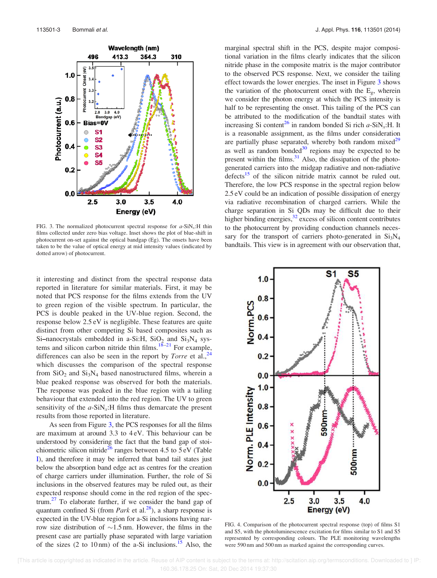

FIG. 3. The normalized photocurrent spectral response for  $a$ -SiN<sub>x</sub>:H thin films collected under zero bias voltage. Inset shows the plot of blue-shift in photocurrent on-set against the optical bandgap (Eg). The onsets have been taken to be the value of optical energy at mid intensity values (indicated by dotted arrow) of photocurrent.

it interesting and distinct from the spectral response data reported in literature for similar materials. First, it may be noted that PCS response for the films extends from the UV to green region of the visible spectrum. In particular, the PCS is double peaked in the UV-blue region. Second, the response below 2.5 eV is negligible. These features are quite distinct from other competing Si based composites such as Si-nanocrystals embedded in a-Si:H,  $SiO<sub>2</sub>$  and  $Si<sub>3</sub>N<sub>4</sub>$  systems and silicon carbon nitride thin films. $18-21$  For example, differences can also be seen in the report by *Torre* et al.,  $^{24}$ which discusses the comparison of the spectral response from  $SiO<sub>2</sub>$  and  $Si<sub>3</sub>N<sub>4</sub>$  based nanostructured films, wherein a blue peaked response was observed for both the materials. The response was peaked in the blue region with a tailing behaviour that extended into the red region. The UV to green sensitivity of the  $a$ -SiN<sub>x</sub>:H films thus demarcate the present results from those reported in literature.

As seen from Figure 3, the PCS responses for all the films are maximum at around 3.3 to 4 eV. This behaviour can be understood by considering the fact that the band gap of stoichiometric silicon nitride<sup>26</sup> ranges between 4.5 to  $5 \text{ eV}$  (Table I), and therefore it may be inferred that band tail states just below the absorption band edge act as centres for the creation of charge carriers under illumination. Further, the role of Si inclusions in the observed features may be ruled out, as their expected response should come in the red region of the spec $trum<sup>27</sup>$  To elaborate further, if we consider the band gap of quantum confined Si (from *Park* et al.<sup>28</sup>), a sharp response is expected in the UV-blue region for a-Si inclusions having narrow size distribution of  $\sim$ 1.5 nm. However, the films in the present case are partially phase separated with large variation of the sizes (2 to 10 nm) of the a-Si inclusions.<sup>15</sup> Also, the marginal spectral shift in the PCS, despite major compositional variation in the films clearly indicates that the silicon nitride phase in the composite matrix is the major contributor to the observed PCS response. Next, we consider the tailing effect towards the lower energies. The inset in Figure 3 shows the variation of the photocurrent onset with the  $E_g$ , wherein we consider the photon energy at which the PCS intensity is half to be representing the onset. This tailing of the PCS can be attributed to the modification of the bandtail states with increasing Si content<sup>26</sup> in random bonded Si rich  $a$ -SiN<sub>x</sub>:H. It is a reasonable assignment, as the films under consideration are partially phase separated, whereby both random mixed<sup>29</sup> as well as random bonded $30$  regions may be expected to be present within the films. $31$  Also, the dissipation of the photogenerated carriers into the midgap radiative and non-radiative defects<sup>15</sup> of the silicon nitride matrix cannot be ruled out. Therefore, the low PCS response in the spectral region below 2.5 eV could be an indication of possible dissipation of energy via radiative recombination of charged carriers. While the charge separation in Si QDs may be difficult due to their higher binding energies, $3^2$  excess of silicon content contributes to the photocurrent by providing conduction channels necessary for the transport of carriers photo-generated in  $Si<sub>3</sub>N<sub>4</sub>$ bandtails. This view is in agreement with our observation that,



FIG. 4. Comparison of the photocurrent spectral response (top) of films S1 and S5, with the photoluminescence excitation for films similar to S1 and S5 represented by corresponding colours. The PLE monitoring wavelengths were 590 nm and 500 nm as marked against the corresponding curves.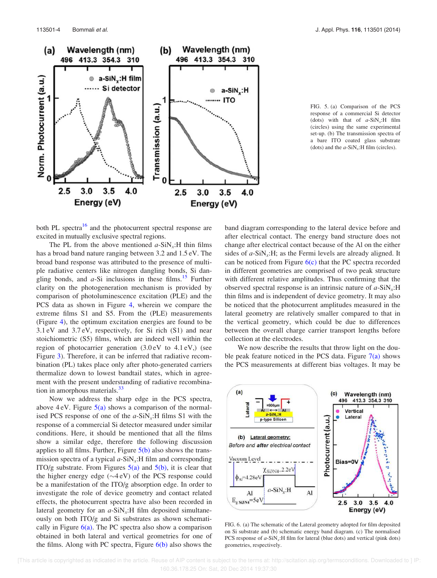

FIG. 5. (a) Comparison of the PCS response of a commercial Si detector (dots) with that of  $a-SiN_x$ :H film (circles) using the same experimental set-up. (b) The transmission spectra of a bare ITO coated glass substrate (dots) and the  $a-SiN_x$ :H film (circles).

both PL spectra<sup>16</sup> and the photocurrent spectral response are excited in mutually exclusive spectral regions.

The PL from the above mentioned  $a$ -SiN<sub>x</sub>:H thin films has a broad band nature ranging between 3.2 and 1.5 eV. The broad band response was attributed to the presence of multiple radiative centers like nitrogen dangling bonds, Si dangling bonds, and  $a$ -Si inclusions in these films.<sup>15</sup> Further clarity on the photogeneration mechanism is provided by comparison of photoluminescence excitation (PLE) and the PCS data as shown in Figure 4, wherein we compare the extreme films S1 and S5. From the (PLE) measurements (Figure 4), the optimum excitation energies are found to be 3.1 eV and 3.7 eV, respectively, for Si rich (S1) and near stoichiometric (S5) films, which are indeed well within the region of photocarrier generation (3.0 eV to 4.1 eV,) (see Figure 3). Therefore, it can be inferred that radiative recombination (PL) takes place only after photo-generated carriers thermalize down to lowest bandtail states, which in agreement with the present understanding of radiative recombination in amorphous materials.<sup>33</sup>

Now we address the sharp edge in the PCS spectra, above  $4 \text{ eV}$ . Figure  $5(a)$  shows a comparison of the normalised PCS response of one of the  $a$ -SiN<sub>x</sub>:H films S1 with the response of a commercial Si detector measured under similar conditions. Here, it should be mentioned that all the films show a similar edge, therefore the following discussion applies to all films. Further, Figure  $5(b)$  also shows the transmission spectra of a typical  $a$ -SiN<sub>x</sub>:H film and corresponding ITO/g substrate. From Figures  $5(a)$  and  $5(b)$ , it is clear that the higher energy edge  $(\sim4 \text{ eV})$  of the PCS response could be a manifestation of the ITO/g absorption edge. In order to investigate the role of device geometry and contact related effects, the photocurrent spectra have also been recorded in lateral geometry for an  $a$ -SiN<sub>x</sub>:H film deposited simultaneously on both ITO/g and Si substrates as shown schematically in Figure  $6(a)$ . The PC spectra also show a comparison obtained in both lateral and vertical geometries for one of the films. Along with PC spectra, Figure  $6(b)$  also shows the

band diagram corresponding to the lateral device before and after electrical contact. The energy band structure does not change after electrical contact because of the Al on the either sides of  $a$ -SiN<sub>x</sub>:H; as the Fermi levels are already aligned. It can be noticed from Figure  $6(c)$  that the PC spectra recorded in different geometries are comprised of two peak structure with different relative amplitudes. Thus confirming that the observed spectral response is an intrinsic nature of  $a$ -SiN<sub>x</sub>:H thin films and is independent of device geometry. It may also be noticed that the photocurrent amplitudes measured in the lateral geometry are relatively smaller compared to that in the vertical geometry, which could be due to differences between the overall charge carrier transport lengths before collection at the electrodes.

We now describe the results that throw light on the double peak feature noticed in the PCS data. Figure  $7(a)$  shows the PCS measurements at different bias voltages. It may be



FIG. 6. (a) The schematic of the Lateral geometry adopted for film deposited on Si substrate and (b) schematic energy band diagram. (c) The normalised PCS response of  $a$ -SiN<sub>x</sub>:H film for lateral (blue dots) and vertical (pink dots) geometries, respectively.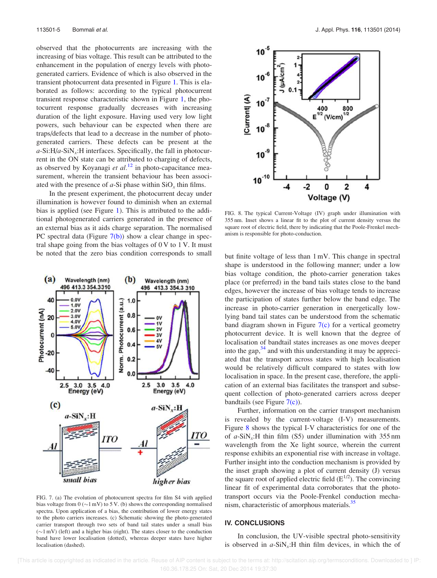observed that the photocurrents are increasing with the increasing of bias voltage. This result can be attributed to the enhancement in the population of energy levels with photogenerated carriers. Evidence of which is also observed in the transient photocurrent data presented in Figure 1. This is elaborated as follows: according to the typical photocurrent transient response characteristic shown in Figure 1, the photocurrent response gradually decreases with increasing duration of the light exposure. Having used very low light powers, such behaviour can be expected when there are traps/defects that lead to a decrease in the number of photogenerated carriers. These defects can be present at the  $a$ -Si:H/ $a$ -SiN<sub>x</sub>:H interfaces. Specifically, the fall in photocurrent in the ON state can be attributed to charging of defects, as observed by Koyanagi et  $al$ .<sup>12</sup> in photo-capacitance measurement, wherein the transient behaviour has been associated with the presence of  $a$ -Si phase within  $SiO_x$  thin films.

In the present experiment, the photocurrent decay under illumination is however found to diminish when an external bias is applied (see Figure 1). This is attributed to the additional photogenerated carriers generated in the presence of an external bias as it aids charge separation. The normalised PC spectral data (Figure  $7(b)$ ) show a clear change in spectral shape going from the bias voltages of  $0 \,$ V to  $1 \,$ V. It must be noted that the zero bias condition corresponds to small but finite voltage of less than 1 mV. This change in spectral



FIG. 7. (a) The evolution of photocurrent spectra for film S4 with applied bias voltage from  $0$  ( $\sim$ 1 mV) to 5 V. (b) shows the corresponding normalised spectra. Upon application of a bias, the contribution of lower energy states to the photo carriers increases. (c) Schematic showing the photo-generated carrier transport through two sets of band tail states under a small bias  $(\sim 1 \text{ mV})$  (left) and a higher bias (right). The states closer to the conduction band have lower localisation (dotted), whereas deeper states have higher localisation (dashed).



FIG. 8. The typical Current-Voltage (IV) graph under illumination with 355 nm. Inset shows a linear fit to the plot of current density versus the square root of electric field, there by indicating that the Poole-Frenkel mechanism is responsible for photo-conduction.

shape is understood in the following manner; under a low bias voltage condition, the photo-carrier generation takes place (or preferred) in the band tails states close to the band edges, however the increase of bias voltage tends to increase the participation of states further below the band edge. The increase in photo-carrier generation in energetically lowlying band tail states can be understood from the schematic band diagram shown in Figure  $7(c)$  for a vertical geometry photocurrent device. It is well known that the degree of localisation of bandtail states increases as one moves deeper into the gap, $34$  and with this understanding it may be appreciated that the transport across states with high localisation would be relatively difficult compared to states with low localisation in space. In the present case, therefore, the application of an external bias facilitates the transport and subsequent collection of photo-generated carriers across deeper bandtails (see Figure 7(c)).

Further, information on the carrier transport mechanism is revealed by the current-voltage (I-V) measurements. Figure 8 shows the typical I-V characteristics for one of the of  $a-SiN_x$ :H thin film (S5) under illumination with 355 nm wavelength from the Xe light source, wherein the current response exhibits an exponential rise with increase in voltage. Further insight into the conduction mechanism is provided by the inset graph showing a plot of current density (J) versus the square root of applied electric field  $(E^{1/2})$ . The convincing linear fit of experimental data corroborates that the phototransport occurs via the Poole-Frenkel conduction mechanism, characteristic of amorphous materials.<sup>35</sup>

#### IV. CONCLUSIONS

In conclusion, the UV-visible spectral photo-sensitivity is observed in  $a-SiN_x$ : H thin film devices, in which the of